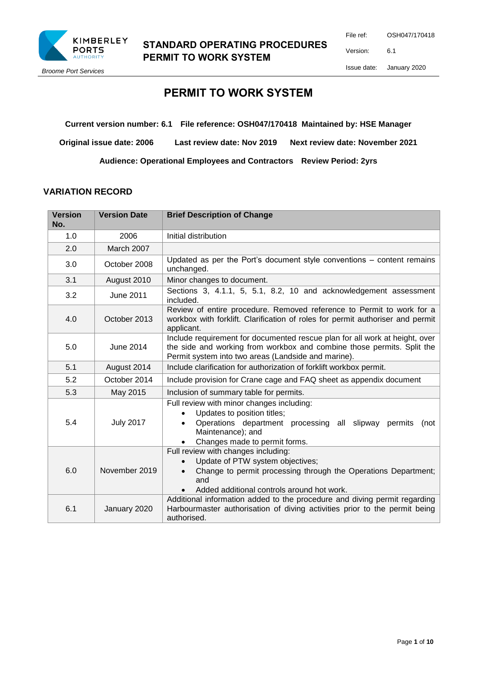

## **STANDARD OPERATING PROCEDURES PERMIT TO WORK SYSTEM**

*Broome Port Services*

# **PERMIT TO WORK SYSTEM**

**Current version number: 6.1 File reference: OSH047/170418 Maintained by: HSE Manager**

**Original issue date: 2006 Last review date: Nov 2019 Next review date: November 2021**

**Audience: Operational Employees and Contractors Review Period: 2yrs**

#### **VARIATION RECORD**

| <b>Version</b><br>No. | <b>Version Date</b> | <b>Brief Description of Change</b>                                                                                                                                                                           |  |
|-----------------------|---------------------|--------------------------------------------------------------------------------------------------------------------------------------------------------------------------------------------------------------|--|
| 1.0                   | 2006                | Initial distribution                                                                                                                                                                                         |  |
| 2.0                   | March 2007          |                                                                                                                                                                                                              |  |
| 3.0                   | October 2008        | Updated as per the Port's document style conventions - content remains<br>unchanged.                                                                                                                         |  |
| 3.1                   | August 2010         | Minor changes to document.                                                                                                                                                                                   |  |
| 3.2                   | June 2011           | Sections 3, 4.1.1, 5, 5.1, 8.2, 10 and acknowledgement assessment<br>included.                                                                                                                               |  |
| 4.0                   | October 2013        | Review of entire procedure. Removed reference to Permit to work for a<br>workbox with forklift. Clarification of roles for permit authoriser and permit<br>applicant.                                        |  |
| 5.0                   | June 2014           | Include requirement for documented rescue plan for all work at height, over<br>the side and working from workbox and combine those permits. Split the<br>Permit system into two areas (Landside and marine). |  |
| 5.1                   | August 2014         | Include clarification for authorization of forklift workbox permit.                                                                                                                                          |  |
| 5.2                   | October 2014        | Include provision for Crane cage and FAQ sheet as appendix document                                                                                                                                          |  |
| 5.3                   | May 2015            | Inclusion of summary table for permits.                                                                                                                                                                      |  |
| 5.4                   | <b>July 2017</b>    | Full review with minor changes including:<br>Updates to position titles;<br>Operations department processing all slipway permits<br>(not<br>Maintenance); and<br>Changes made to permit forms.               |  |
| 6.0                   | November 2019       | Full review with changes including:<br>Update of PTW system objectives;<br>Change to permit processing through the Operations Department;<br>and<br>Added additional controls around hot work.               |  |
| 6.1                   | January 2020        | Additional information added to the procedure and diving permit regarding<br>Harbourmaster authorisation of diving activities prior to the permit being<br>authorised.                                       |  |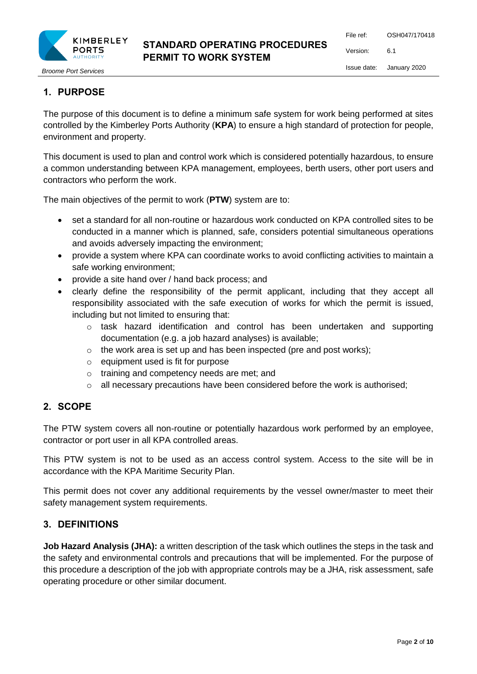

# **STANDARD OPERATING PROCEDURES PERMIT TO WORK SYSTEM**

File ref: OSH047/170418 Version: 6.1 Issue date: January 2020

# **1. PURPOSE**

The purpose of this document is to define a minimum safe system for work being performed at sites controlled by the Kimberley Ports Authority (**KPA**) to ensure a high standard of protection for people, environment and property.

This document is used to plan and control work which is considered potentially hazardous, to ensure a common understanding between KPA management, employees, berth users, other port users and contractors who perform the work.

The main objectives of the permit to work (**PTW**) system are to:

- set a standard for all non-routine or hazardous work conducted on KPA controlled sites to be conducted in a manner which is planned, safe, considers potential simultaneous operations and avoids adversely impacting the environment;
- provide a system where KPA can coordinate works to avoid conflicting activities to maintain a safe working environment;
- provide a site hand over / hand back process; and
- clearly define the responsibility of the permit applicant, including that they accept all responsibility associated with the safe execution of works for which the permit is issued, including but not limited to ensuring that:
	- o task hazard identification and control has been undertaken and supporting documentation (e.g. a job hazard analyses) is available;
	- $\circ$  the work area is set up and has been inspected (pre and post works);
	- o equipment used is fit for purpose
	- o training and competency needs are met; and
	- $\circ$  all necessary precautions have been considered before the work is authorised;

## **2. SCOPE**

The PTW system covers all non-routine or potentially hazardous work performed by an employee, contractor or port user in all KPA controlled areas.

This PTW system is not to be used as an access control system. Access to the site will be in accordance with the KPA Maritime Security Plan.

This permit does not cover any additional requirements by the vessel owner/master to meet their safety management system requirements.

## **3. DEFINITIONS**

**Job Hazard Analysis (JHA):** a written description of the task which outlines the steps in the task and the safety and environmental controls and precautions that will be implemented. For the purpose of this procedure a description of the job with appropriate controls may be a JHA, risk assessment, safe operating procedure or other similar document.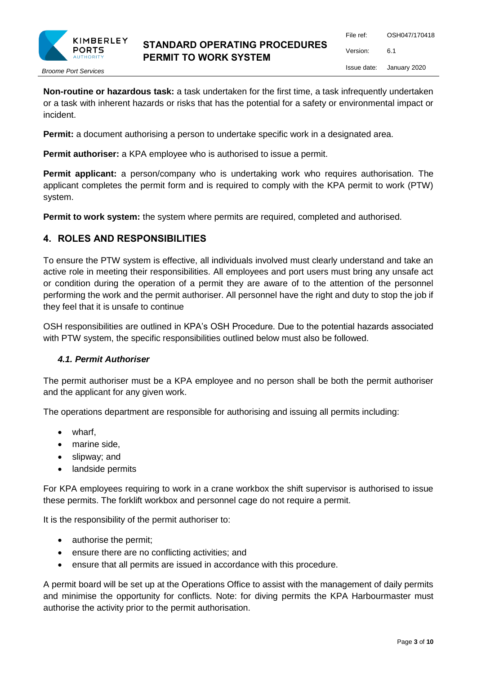

**Non-routine or hazardous task:** a task undertaken for the first time, a task infrequently undertaken or a task with inherent hazards or risks that has the potential for a safety or environmental impact or incident.

**Permit:** a document authorising a person to undertake specific work in a designated area.

**Permit authoriser:** a KPA employee who is authorised to issue a permit.

**Permit applicant:** a person/company who is undertaking work who requires authorisation. The applicant completes the permit form and is required to comply with the KPA permit to work (PTW) system.

**Permit to work system:** the system where permits are required, completed and authorised.

### **4. ROLES AND RESPONSIBILITIES**

To ensure the PTW system is effective, all individuals involved must clearly understand and take an active role in meeting their responsibilities. All employees and port users must bring any unsafe act or condition during the operation of a permit they are aware of to the attention of the personnel performing the work and the permit authoriser. All personnel have the right and duty to stop the job if they feel that it is unsafe to continue

OSH responsibilities are outlined in KPA's OSH Procedure. Due to the potential hazards associated with PTW system, the specific responsibilities outlined below must also be followed.

#### *4.1. Permit Authoriser*

The permit authoriser must be a KPA employee and no person shall be both the permit authoriser and the applicant for any given work.

The operations department are responsible for authorising and issuing all permits including:

- wharf,
- marine side.
- slipway; and
- landside permits

For KPA employees requiring to work in a crane workbox the shift supervisor is authorised to issue these permits. The forklift workbox and personnel cage do not require a permit.

It is the responsibility of the permit authoriser to:

- authorise the permit;
- ensure there are no conflicting activities; and
- ensure that all permits are issued in accordance with this procedure.

A permit board will be set up at the Operations Office to assist with the management of daily permits and minimise the opportunity for conflicts. Note: for diving permits the KPA Harbourmaster must authorise the activity prior to the permit authorisation.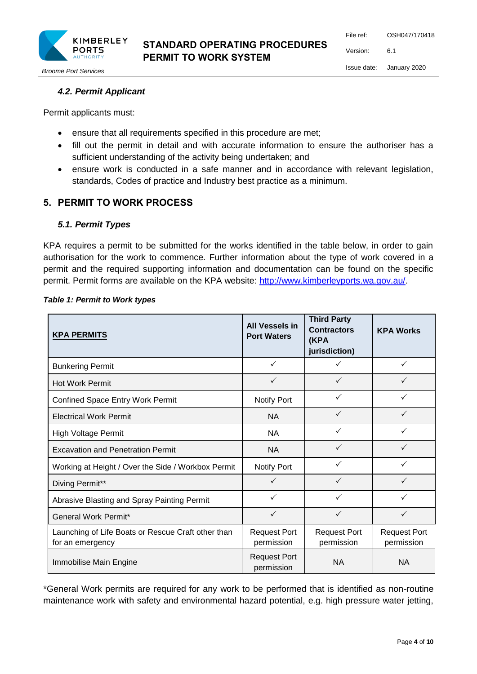

# **STANDARD OPERATING PROCEDURES PERMIT TO WORK SYSTEM**

File ref: OSH047/170418 Version: 6.1 Issue date: January 2020

*Broome Port Services*

## *4.2. Permit Applicant*

Permit applicants must:

- ensure that all requirements specified in this procedure are met;
- fill out the permit in detail and with accurate information to ensure the authoriser has a sufficient understanding of the activity being undertaken; and
- ensure work is conducted in a safe manner and in accordance with relevant legislation, standards, Codes of practice and Industry best practice as a minimum.

## **5. PERMIT TO WORK PROCESS**

#### *5.1. Permit Types*

KPA requires a permit to be submitted for the works identified in the table below, in order to gain authorisation for the work to commence. Further information about the type of work covered in a permit and the required supporting information and documentation can be found on the specific permit. Permit forms are available on the KPA website: [http://www.kimberleyports.wa.gov.au/.](http://www.broomeport.wa.gov.au/)

| <b>KPA PERMITS</b>                                                     | <b>All Vessels in</b><br><b>Port Waters</b> | <b>Third Party</b><br><b>Contractors</b><br>(KPA<br>jurisdiction) | <b>KPA Works</b>                  |
|------------------------------------------------------------------------|---------------------------------------------|-------------------------------------------------------------------|-----------------------------------|
| <b>Bunkering Permit</b>                                                | $\checkmark$                                | $\checkmark$                                                      | ✓                                 |
| <b>Hot Work Permit</b>                                                 | ✓                                           | ✓                                                                 |                                   |
| <b>Confined Space Entry Work Permit</b>                                | Notify Port                                 | $\checkmark$                                                      | ✓                                 |
| <b>Electrical Work Permit</b>                                          | <b>NA</b>                                   | $\checkmark$                                                      | $\checkmark$                      |
| <b>High Voltage Permit</b>                                             | <b>NA</b>                                   | $\checkmark$                                                      | ✓                                 |
| <b>Excavation and Penetration Permit</b>                               | <b>NA</b>                                   | $\checkmark$                                                      | $\checkmark$                      |
| Working at Height / Over the Side / Workbox Permit                     | Notify Port                                 | $\checkmark$                                                      |                                   |
| Diving Permit**                                                        | $\checkmark$                                | $\checkmark$                                                      | $\checkmark$                      |
| Abrasive Blasting and Spray Painting Permit                            | ✓                                           | $\checkmark$                                                      | $\checkmark$                      |
| General Work Permit*                                                   | $\checkmark$                                | $\checkmark$                                                      | $\checkmark$                      |
| Launching of Life Boats or Rescue Craft other than<br>for an emergency | <b>Request Port</b><br>permission           | <b>Request Port</b><br>permission                                 | <b>Request Port</b><br>permission |
| Immobilise Main Engine                                                 | <b>Request Port</b><br>permission           | <b>NA</b>                                                         | <b>NA</b>                         |

#### *Table 1: Permit to Work types*

\*General Work permits are required for any work to be performed that is identified as non-routine maintenance work with safety and environmental hazard potential, e.g. high pressure water jetting,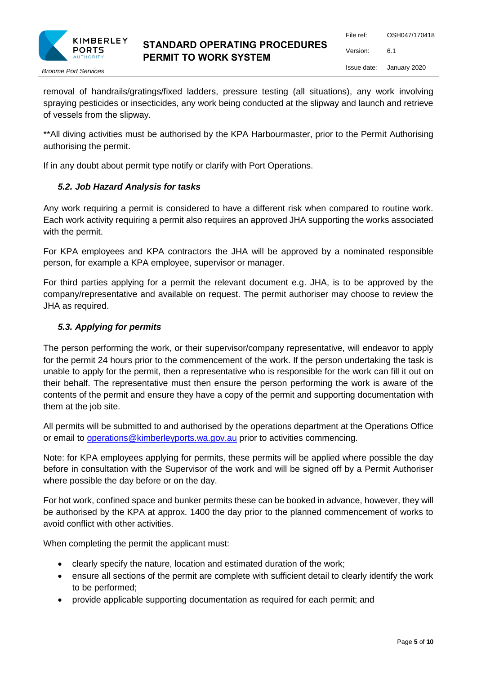

removal of handrails/gratings/fixed ladders, pressure testing (all situations), any work involving spraying pesticides or insecticides, any work being conducted at the slipway and launch and retrieve of vessels from the slipway.

\*\*All diving activities must be authorised by the KPA Harbourmaster, prior to the Permit Authorising authorising the permit.

If in any doubt about permit type notify or clarify with Port Operations.

#### *5.2. Job Hazard Analysis for tasks*

Any work requiring a permit is considered to have a different risk when compared to routine work. Each work activity requiring a permit also requires an approved JHA supporting the works associated with the permit.

For KPA employees and KPA contractors the JHA will be approved by a nominated responsible person, for example a KPA employee, supervisor or manager.

For third parties applying for a permit the relevant document e.g. JHA, is to be approved by the company/representative and available on request. The permit authoriser may choose to review the JHA as required.

### *5.3. Applying for permits*

The person performing the work, or their supervisor/company representative, will endeavor to apply for the permit 24 hours prior to the commencement of the work. If the person undertaking the task is unable to apply for the permit, then a representative who is responsible for the work can fill it out on their behalf. The representative must then ensure the person performing the work is aware of the contents of the permit and ensure they have a copy of the permit and supporting documentation with them at the job site.

All permits will be submitted to and authorised by the operations department at the Operations Office or email to [operations@kimberleyports.wa.gov.au](mailto:operations@kimberleyports.wa.gov.au) prior to activities commencing.

Note: for KPA employees applying for permits, these permits will be applied where possible the day before in consultation with the Supervisor of the work and will be signed off by a Permit Authoriser where possible the day before or on the day.

For hot work, confined space and bunker permits these can be booked in advance, however, they will be authorised by the KPA at approx. 1400 the day prior to the planned commencement of works to avoid conflict with other activities.

When completing the permit the applicant must:

- clearly specify the nature, location and estimated duration of the work;
- ensure all sections of the permit are complete with sufficient detail to clearly identify the work to be performed;
- provide applicable supporting documentation as required for each permit; and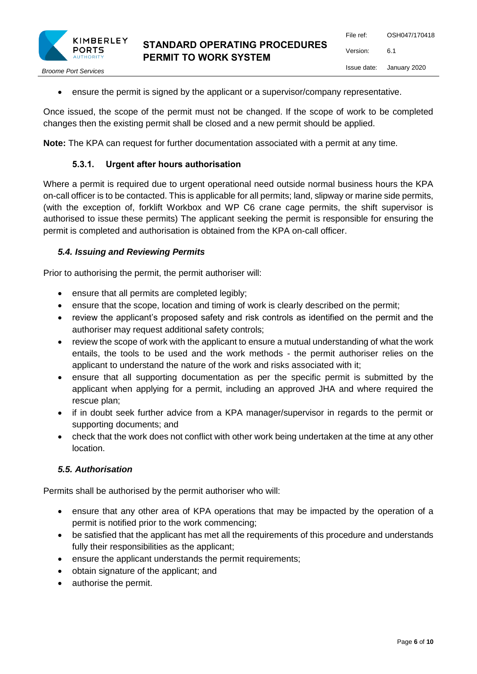

ensure the permit is signed by the applicant or a supervisor/company representative.

Once issued, the scope of the permit must not be changed. If the scope of work to be completed changes then the existing permit shall be closed and a new permit should be applied.

**Note:** The KPA can request for further documentation associated with a permit at any time.

## **5.3.1. Urgent after hours authorisation**

Where a permit is required due to urgent operational need outside normal business hours the KPA on-call officer is to be contacted. This is applicable for all permits; land, slipway or marine side permits, (with the exception of, forklift Workbox and WP C6 crane cage permits, the shift supervisor is authorised to issue these permits) The applicant seeking the permit is responsible for ensuring the permit is completed and authorisation is obtained from the KPA on-call officer.

### *5.4. Issuing and Reviewing Permits*

Prior to authorising the permit, the permit authoriser will:

- ensure that all permits are completed legibly;
- ensure that the scope, location and timing of work is clearly described on the permit;
- review the applicant's proposed safety and risk controls as identified on the permit and the authoriser may request additional safety controls;
- review the scope of work with the applicant to ensure a mutual understanding of what the work entails, the tools to be used and the work methods - the permit authoriser relies on the applicant to understand the nature of the work and risks associated with it;
- ensure that all supporting documentation as per the specific permit is submitted by the applicant when applying for a permit, including an approved JHA and where required the rescue plan;
- if in doubt seek further advice from a KPA manager/supervisor in regards to the permit or supporting documents; and
- check that the work does not conflict with other work being undertaken at the time at any other location.

#### *5.5. Authorisation*

Permits shall be authorised by the permit authoriser who will:

- ensure that any other area of KPA operations that may be impacted by the operation of a permit is notified prior to the work commencing;
- be satisfied that the applicant has met all the requirements of this procedure and understands fully their responsibilities as the applicant;
- ensure the applicant understands the permit requirements;
- obtain signature of the applicant; and
- authorise the permit.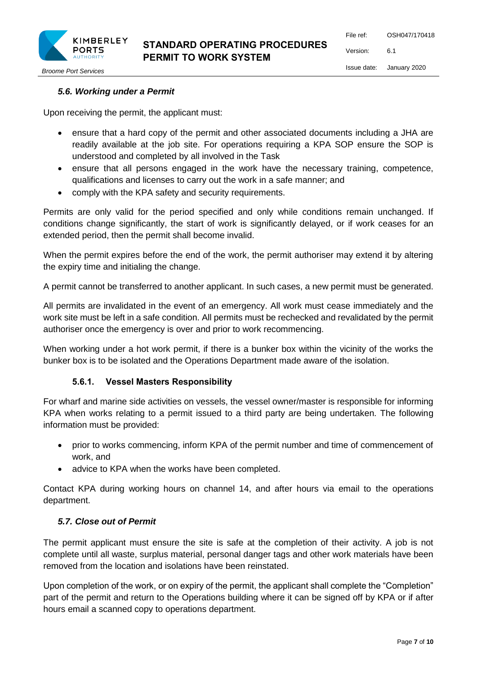

*Broome Port Services*

## *5.6. Working under a Permit*

Upon receiving the permit, the applicant must:

- ensure that a hard copy of the permit and other associated documents including a JHA are readily available at the job site. For operations requiring a KPA SOP ensure the SOP is understood and completed by all involved in the Task
- ensure that all persons engaged in the work have the necessary training, competence, qualifications and licenses to carry out the work in a safe manner; and
- comply with the KPA safety and security requirements.

Permits are only valid for the period specified and only while conditions remain unchanged. If conditions change significantly, the start of work is significantly delayed, or if work ceases for an extended period, then the permit shall become invalid.

When the permit expires before the end of the work, the permit authoriser may extend it by altering the expiry time and initialing the change.

A permit cannot be transferred to another applicant. In such cases, a new permit must be generated.

All permits are invalidated in the event of an emergency. All work must cease immediately and the work site must be left in a safe condition. All permits must be rechecked and revalidated by the permit authoriser once the emergency is over and prior to work recommencing.

When working under a hot work permit, if there is a bunker box within the vicinity of the works the bunker box is to be isolated and the Operations Department made aware of the isolation.

#### **5.6.1. Vessel Masters Responsibility**

For wharf and marine side activities on vessels, the vessel owner/master is responsible for informing KPA when works relating to a permit issued to a third party are being undertaken. The following information must be provided:

- prior to works commencing, inform KPA of the permit number and time of commencement of work, and
- advice to KPA when the works have been completed.

Contact KPA during working hours on channel 14, and after hours via email to the operations department.

#### *5.7. Close out of Permit*

The permit applicant must ensure the site is safe at the completion of their activity. A job is not complete until all waste, surplus material, personal danger tags and other work materials have been removed from the location and isolations have been reinstated.

Upon completion of the work, or on expiry of the permit, the applicant shall complete the "Completion" part of the permit and return to the Operations building where it can be signed off by KPA or if after hours email a scanned copy to operations department.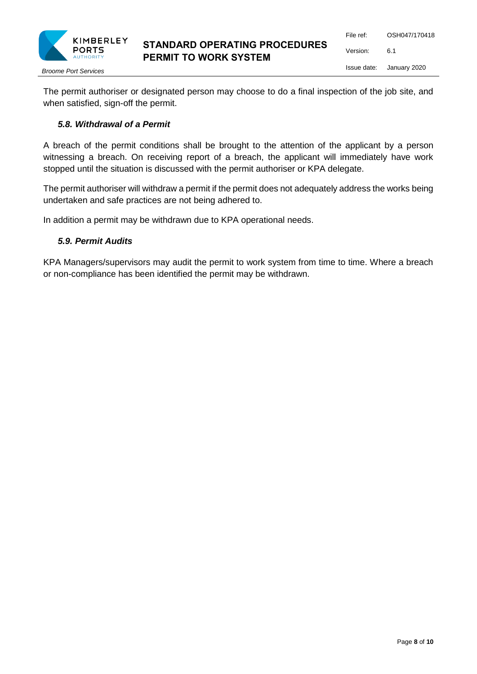

The permit authoriser or designated person may choose to do a final inspection of the job site, and when satisfied, sign-off the permit.

#### *5.8. Withdrawal of a Permit*

A breach of the permit conditions shall be brought to the attention of the applicant by a person witnessing a breach. On receiving report of a breach, the applicant will immediately have work stopped until the situation is discussed with the permit authoriser or KPA delegate.

The permit authoriser will withdraw a permit if the permit does not adequately address the works being undertaken and safe practices are not being adhered to.

In addition a permit may be withdrawn due to KPA operational needs.

#### *5.9. Permit Audits*

KPA Managers/supervisors may audit the permit to work system from time to time. Where a breach or non-compliance has been identified the permit may be withdrawn.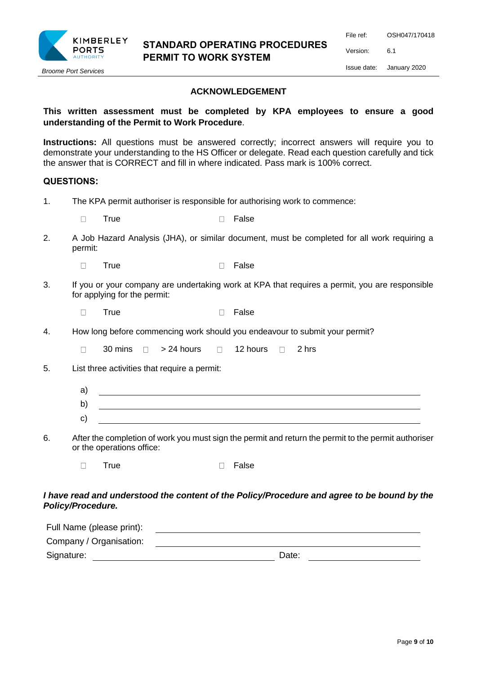

#### **ACKNOWLEDGEMENT**

### **This written assessment must be completed by KPA employees to ensure a good understanding of the Permit to Work Procedure**.

**Instructions:** All questions must be answered correctly; incorrect answers will require you to demonstrate your understanding to the HS Officer or delegate. Read each question carefully and tick the answer that is CORRECT and fill in where indicated. Pass mark is 100% correct.

#### **QUESTIONS:**

1. The KPA permit authoriser is responsible for authorising work to commence:

| True |  | □ False |
|------|--|---------|
|      |  |         |

2. A Job Hazard Analysis (JHA), or similar document, must be completed for all work requiring a permit:

| True |  | □ False |
|------|--|---------|
|------|--|---------|

- 3. If you or your company are undertaking work at KPA that requires a permit, you are responsible for applying for the permit:
	- $\Box$ True **False**
- 4. How long before commencing work should you endeavour to submit your permit?

 $\Box$ 30 mins  $\Box$  > 24 hours  $\Box$  12 hours  $\Box$  2 hrs

5. List three activities that require a permit:

| ∽<br>a |  |
|--------|--|
| ັ      |  |
| -      |  |

6. After the completion of work you must sign the permit and return the permit to the permit authoriser or the operations office:

|  | True |  | $\Box$ False |
|--|------|--|--------------|
|--|------|--|--------------|

#### *I have read and understood the content of the Policy/Procedure and agree to be bound by the Policy/Procedure.*

| Full Name (please print): |       |
|---------------------------|-------|
| Company / Organisation:   |       |
| Signature:                | Date: |